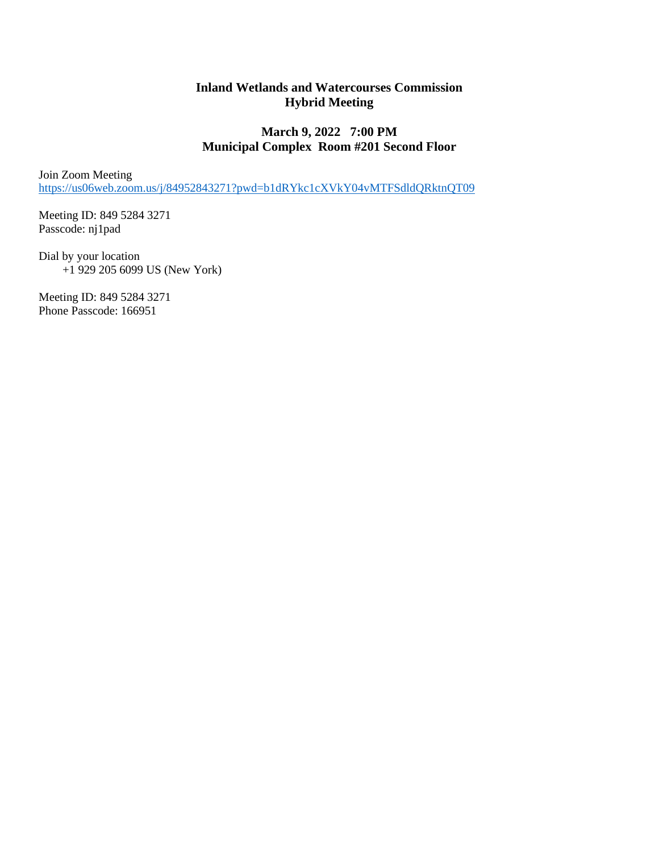## **Inland Wetlands and Watercourses Commission Hybrid Meeting**

# **March 9, 2022 7:00 PM Municipal Complex Room #201 Second Floor**

Join Zoom Meeting <https://us06web.zoom.us/j/84952843271?pwd=b1dRYkc1cXVkY04vMTFSdldQRktnQT09>

Meeting ID: 849 5284 3271 Passcode: nj1pad

Dial by your location +1 929 205 6099 US (New York)

Meeting ID: 849 5284 3271 Phone Passcode: 166951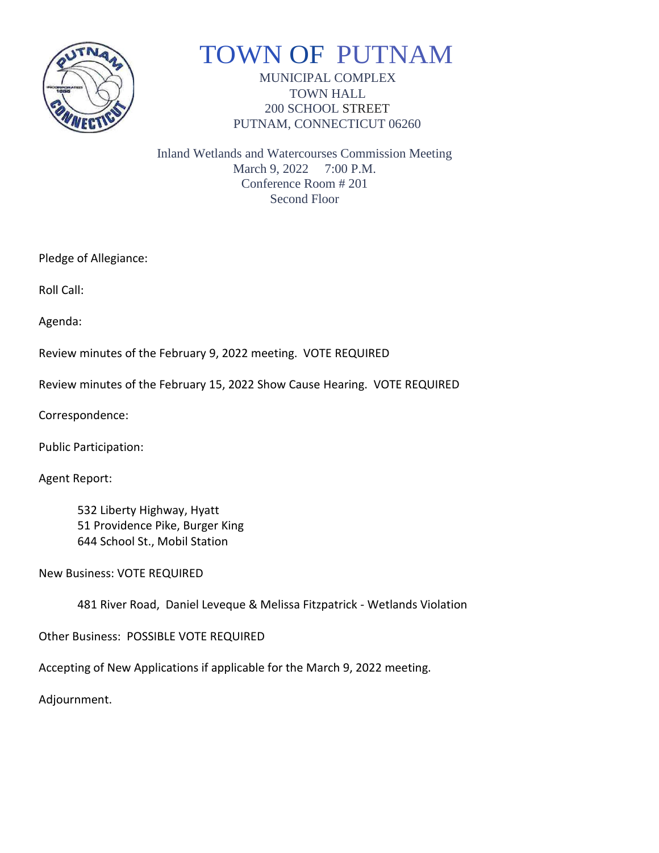

# TOWN OF PUTNAM

MUNICIPAL COMPLEX TOWN HALL 200 SCHOOL STREET PUTNAM, CONNECTICUT 06260

Inland Wetlands and Watercourses Commission Meeting March 9, 2022 7:00 P.M. Conference Room # 201 Second Floor

Pledge of Allegiance:

Roll Call:

Agenda:

Review minutes of the February 9, 2022 meeting. VOTE REQUIRED

Review minutes of the February 15, 2022 Show Cause Hearing. VOTE REQUIRED

Correspondence:

Public Participation:

Agent Report:

532 Liberty Highway, Hyatt 51 Providence Pike, Burger King 644 School St., Mobil Station

New Business: VOTE REQUIRED

481 River Road, Daniel Leveque & Melissa Fitzpatrick - Wetlands Violation

Other Business: POSSIBLE VOTE REQUIRED

Accepting of New Applications if applicable for the March 9, 2022 meeting.

Adjournment.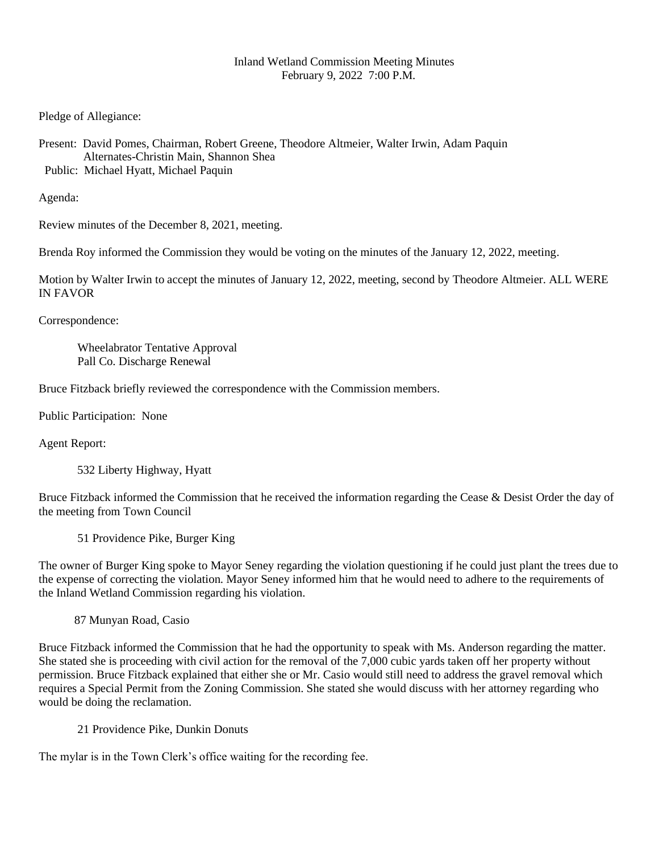#### Inland Wetland Commission Meeting Minutes February 9, 2022 7:00 P.M.

Pledge of Allegiance:

Present: David Pomes, Chairman, Robert Greene, Theodore Altmeier, Walter Irwin, Adam Paquin Alternates-Christin Main, Shannon Shea Public: Michael Hyatt, Michael Paquin

Agenda:

Review minutes of the December 8, 2021, meeting.

Brenda Roy informed the Commission they would be voting on the minutes of the January 12, 2022, meeting.

Motion by Walter Irwin to accept the minutes of January 12, 2022, meeting, second by Theodore Altmeier. ALL WERE IN FAVOR

Correspondence:

Wheelabrator Tentative Approval Pall Co. Discharge Renewal

Bruce Fitzback briefly reviewed the correspondence with the Commission members.

Public Participation: None

Agent Report:

532 Liberty Highway, Hyatt

Bruce Fitzback informed the Commission that he received the information regarding the Cease & Desist Order the day of the meeting from Town Council

51 Providence Pike, Burger King

The owner of Burger King spoke to Mayor Seney regarding the violation questioning if he could just plant the trees due to the expense of correcting the violation. Mayor Seney informed him that he would need to adhere to the requirements of the Inland Wetland Commission regarding his violation.

87 Munyan Road, Casio

Bruce Fitzback informed the Commission that he had the opportunity to speak with Ms. Anderson regarding the matter. She stated she is proceeding with civil action for the removal of the 7,000 cubic yards taken off her property without permission. Bruce Fitzback explained that either she or Mr. Casio would still need to address the gravel removal which requires a Special Permit from the Zoning Commission. She stated she would discuss with her attorney regarding who would be doing the reclamation.

21 Providence Pike, Dunkin Donuts

The mylar is in the Town Clerk's office waiting for the recording fee.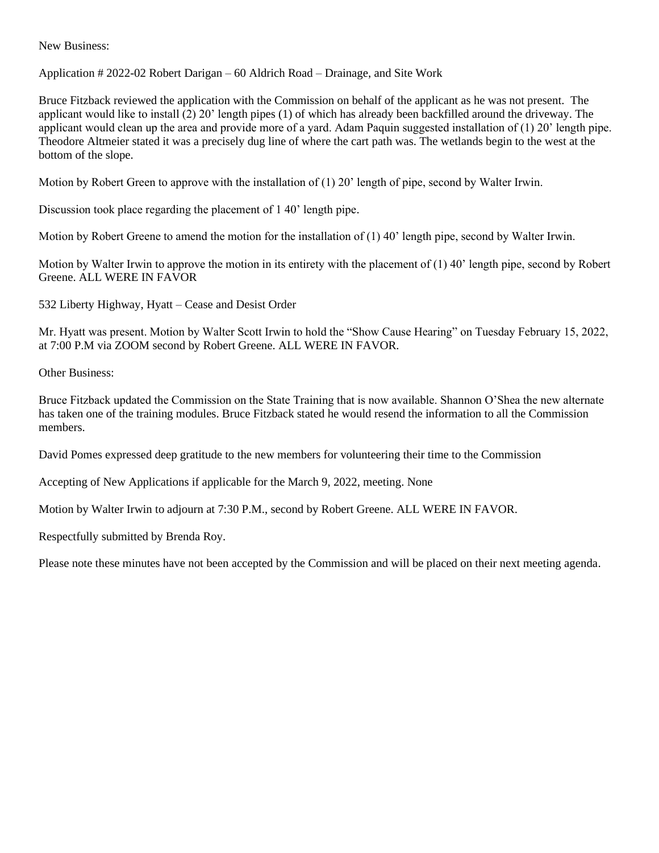New Business:

Application # 2022-02 Robert Darigan – 60 Aldrich Road – Drainage, and Site Work

Bruce Fitzback reviewed the application with the Commission on behalf of the applicant as he was not present. The applicant would like to install (2) 20' length pipes (1) of which has already been backfilled around the driveway. The applicant would clean up the area and provide more of a yard. Adam Paquin suggested installation of (1) 20' length pipe. Theodore Altmeier stated it was a precisely dug line of where the cart path was. The wetlands begin to the west at the bottom of the slope.

Motion by Robert Green to approve with the installation of (1) 20' length of pipe, second by Walter Irwin.

Discussion took place regarding the placement of 1 40' length pipe.

Motion by Robert Greene to amend the motion for the installation of (1) 40' length pipe, second by Walter Irwin.

Motion by Walter Irwin to approve the motion in its entirety with the placement of (1) 40' length pipe, second by Robert Greene. ALL WERE IN FAVOR

532 Liberty Highway, Hyatt – Cease and Desist Order

Mr. Hyatt was present. Motion by Walter Scott Irwin to hold the "Show Cause Hearing" on Tuesday February 15, 2022, at 7:00 P.M via ZOOM second by Robert Greene. ALL WERE IN FAVOR.

Other Business:

Bruce Fitzback updated the Commission on the State Training that is now available. Shannon O'Shea the new alternate has taken one of the training modules. Bruce Fitzback stated he would resend the information to all the Commission members.

David Pomes expressed deep gratitude to the new members for volunteering their time to the Commission

Accepting of New Applications if applicable for the March 9, 2022, meeting. None

Motion by Walter Irwin to adjourn at 7:30 P.M., second by Robert Greene. ALL WERE IN FAVOR.

Respectfully submitted by Brenda Roy.

Please note these minutes have not been accepted by the Commission and will be placed on their next meeting agenda.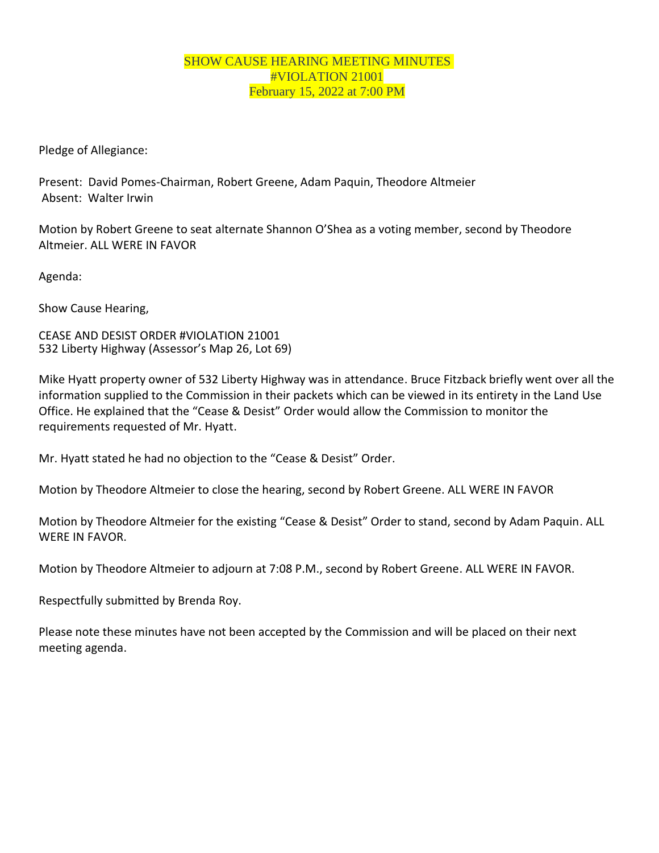### SHOW CAUSE HEARING MEETING MINUTES #VIOLATION 21001 February 15, 2022 at 7:00 PM

Pledge of Allegiance:

Present: David Pomes-Chairman, Robert Greene, Adam Paquin, Theodore Altmeier Absent: Walter Irwin

Motion by Robert Greene to seat alternate Shannon O'Shea as a voting member, second by Theodore Altmeier. ALL WERE IN FAVOR

Agenda:

Show Cause Hearing,

CEASE AND DESIST ORDER #VIOLATION 21001 532 Liberty Highway (Assessor's Map 26, Lot 69)

Mike Hyatt property owner of 532 Liberty Highway was in attendance. Bruce Fitzback briefly went over all the information supplied to the Commission in their packets which can be viewed in its entirety in the Land Use Office. He explained that the "Cease & Desist" Order would allow the Commission to monitor the requirements requested of Mr. Hyatt.

Mr. Hyatt stated he had no objection to the "Cease & Desist" Order.

Motion by Theodore Altmeier to close the hearing, second by Robert Greene. ALL WERE IN FAVOR

Motion by Theodore Altmeier for the existing "Cease & Desist" Order to stand, second by Adam Paquin. ALL WERE IN FAVOR.

Motion by Theodore Altmeier to adjourn at 7:08 P.M., second by Robert Greene. ALL WERE IN FAVOR.

Respectfully submitted by Brenda Roy.

Please note these minutes have not been accepted by the Commission and will be placed on their next meeting agenda.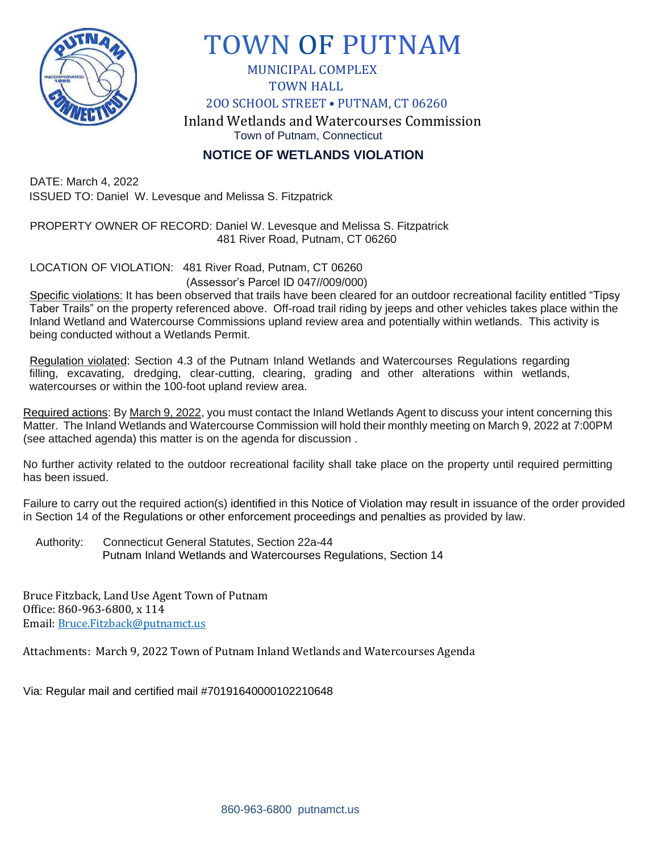

# TOWN OF PUTNAM

 MUNICIPAL COMPLEX TOWN HALL

2OO SCHOOL STREET • PUTNAM, CT 06260

 Inland Wetlands and Watercourses Commission Town of Putnam, Connecticut

**NOTICE OF WETLANDS VIOLATION**

DATE: March 4, 2022 ISSUED TO: Daniel W. Levesque and Melissa S. Fitzpatrick

PROPERTY OWNER OF RECORD: Daniel W. Levesque and Melissa S. Fitzpatrick 481 River Road, Putnam, CT 06260

LOCATION OF VIOLATION: 481 River Road, Putnam, CT 06260 (Assessor's Parcel ID 047//009/000)

Specific violations: It has been observed that trails have been cleared for an outdoor recreational facility entitled "Tipsy Taber Trails" on the property referenced above. Off-road trail riding by jeeps and other vehicles takes place within the Inland Wetland and Watercourse Commissions upland review area and potentially within wetlands. This activity is being conducted without a Wetlands Permit.

Regulation violated: Section 4.3 of the Putnam Inland Wetlands and Watercourses Regulations regarding filling, excavating, dredging, clear-cutting, clearing, grading and other alterations within wetlands, watercourses or within the 100-foot upland review area.

Required actions: By March 9, 2022, you must contact the Inland Wetlands Agent to discuss your intent concerning this Matter. The Inland Wetlands and Watercourse Commission will hold their monthly meeting on March 9, 2022 at 7:00PM (see attached agenda) this matter is on the agenda for discussion .

No further activity related to the outdoor recreational facility shall take place on the property until required permitting has been issued.

Failure to carry out the required action(s) identified in this Notice of Violation may result in issuance of the order provided in Section 14 of the Regulations or other enforcement proceedings and penalties as provided by law.

Authority: Connecticut General Statutes, Section 22a-44 Putnam Inland Wetlands and Watercourses Regulations, Section 14

Bruce Fitzback, Land Use Agent Town of Putnam Office: 860-963-6800, x 114 Email: [Bruce.Fitzback@putnamct.us](mailto:Bruce.Fitzback@putnamct.us)

Attachments: March 9, 2022 Town of Putnam Inland Wetlands and Watercourses Agenda

Via: Regular mail and certified mail #70191640000102210648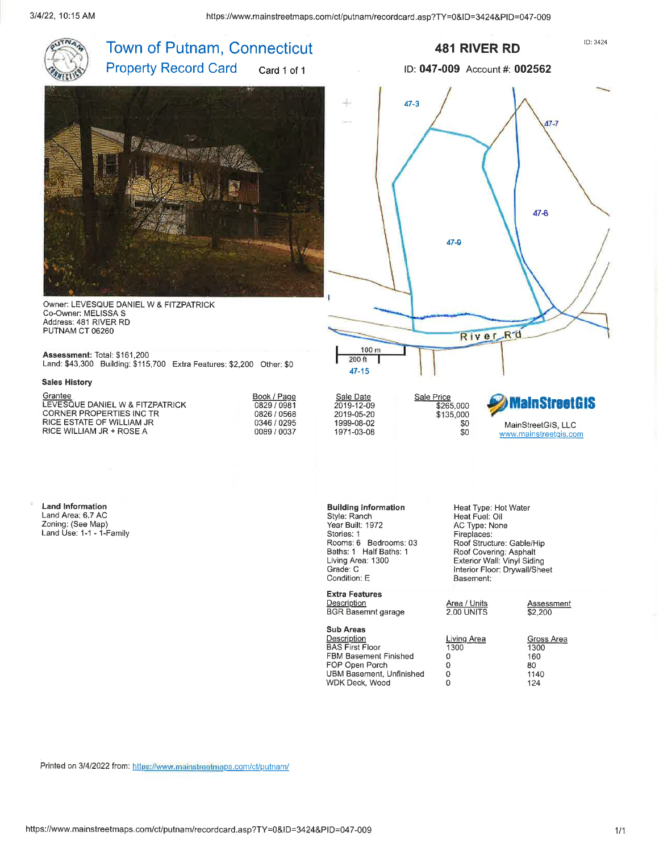

Printed on 3/4/2022 from: https://www.mainstreetmaps.com/ct/putnam/